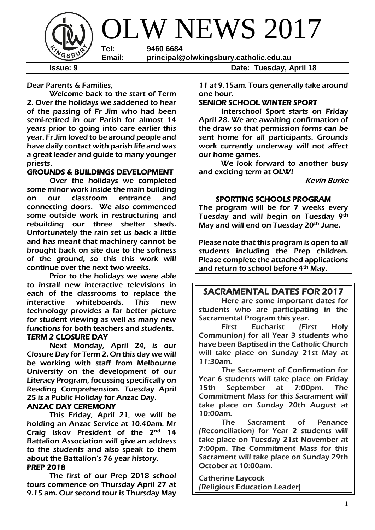

Dear Parents & Families,

Welcome back to the start of Term 2. Over the holidays we saddened to hear of the passing of Fr Jim who had been semi-retired in our Parish for almost 14 years prior to going into care earlier this year. Fr Jim loved to be around people and have daily contact with parish life and was a great leader and guide to many younger priests.

## GROUNDS & BUILDINGS DEVELOPMENT

Over the holidays we completed some minor work inside the main building on our classroom entrance and connecting doors. We also commenced some outside work in restructuring and rebuilding our three shelter sheds. Unfortunately the rain set us back a little and has meant that machinery cannot be brought back on site due to the softness of the ground, so this this work will continue over the next two weeks.

Prior to the holidays we were able to install new interactive televisions in each of the classrooms to replace the interactive whiteboards. This new technology provides a far better picture for student viewing as well as many new functions for both teachers and students.

### TERM 2 CLOSURE DAY

Next Monday, April 24, is our Closure Day for Term 2. On this day we will be working with staff from Melbourne University on the development of our Literacy Program, focussing specifically on Reading Comprehension. Tuesday April 25 is a Public Holiday for Anzac Day.

## ANZAC DAY CEREMONY

This Friday, April 21, we will be holding an Anzac Service at 10.40am. Mr Craig Iskov President of the 2<sup>nd</sup> 14 Battalion Association will give an address to the students and also speak to them about the Battalion's 76 year history.

### PREP 2018

The first of our Prep 2018 school tours commence on Thursday April 27 at 9.15 am. Our second tour is Thursday May

11 at 9.15am. Tours generally take around one hour.

### SENIOR SCHOOL WINTER SPORT

Interschool Sport starts on Friday April 28. We are awaiting confirmation of the draw so that permission forms can be sent home for all participants. Grounds work currently underway will not affect our home games.

We look forward to another busy and exciting term at OLW!

Kevin Burke

### SPORTING SCHOOLS PROGRAM

The program will be for 7 weeks every Tuesday and will begin on Tuesday 9th May and will end on Tuesday 20<sup>th</sup> June.

Please note that this program is open to all students including the Prep children. Please complete the attached applications and return to school before 4<sup>th</sup> May.

# SACRAMENTAL DATES FOR 2017

Here are some important dates for students who are participating in the Sacramental Program this year.

First Eucharist (First Holy Communion) for all Year 3 students who have been Baptised in the Catholic Church will take place on Sunday 21st May at 11:30am.

The Sacrament of Confirmation for Year 6 students will take place on Friday 15th September at 7:00pm. The Commitment Mass for this Sacrament will take place on Sunday 20th August at 10:00am.

The Sacrament of Penance (Reconciliation) for Year 2 students will take place on Tuesday 21st November at 7:00pm. The Commitment Mass for this Sacrament will take place on Sunday 29th October at 10:00am.

Catherine Laycock (Religious Education Leader)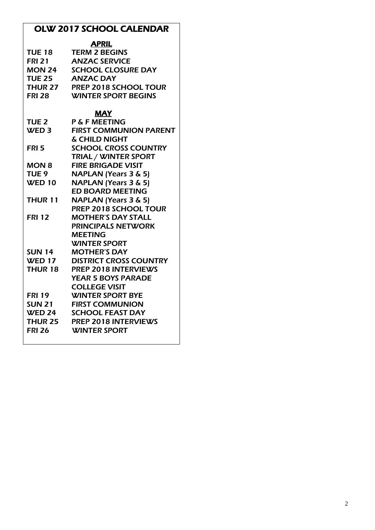# OLW 2017 SCHOOL CALENDAR

|                  | <b>APRIL</b>                    |
|------------------|---------------------------------|
| <b>TUE 18</b>    | <b>TERM 2 BEGINS</b>            |
| <b>FRI 21</b>    | <b>ANZAC SERVICE</b>            |
| <b>MON 24</b>    | <b>SCHOOL CLOSURE DAY</b>       |
| <b>TUE 25</b>    | <b>ANZAC DAY</b>                |
| THUR 27          | <b>PREP 2018 SCHOOL TOUR</b>    |
| <b>FRI 28</b>    | <b>WINTER SPORT BEGINS</b>      |
|                  | <b>MAY</b>                      |
| <b>TUE 2</b>     | P & F MEETING                   |
| WED <sub>3</sub> | <b>FIRST COMMUNION PARENT</b>   |
|                  | & CHILD NIGHT                   |
| FRI 5            | <b>SCHOOL CROSS COUNTRY</b>     |
|                  | <b>TRIAL / WINTER SPORT</b>     |
| MON 8            | <b>FIRE BRIGADE VISIT</b>       |
| TUE <sub>9</sub> | <b>NAPLAN (Years 3 &amp; 5)</b> |
| <b>WED 10</b>    | <b>NAPLAN (Years 3 &amp; 5)</b> |
|                  | <b>ED BOARD MEETING</b>         |
| THUR 11          | <b>NAPLAN (Years 3 &amp; 5)</b> |
|                  | PREP 2018 SCHOOL TOUR           |
| <b>FRI 12</b>    | <b>MOTHER'S DAY STALL</b>       |
|                  | <b>PRINCIPALS NETWORK</b>       |
|                  | <b>MEETING</b>                  |
|                  | <b>WINTER SPORT</b>             |
| SUN 14           | <b>MOTHER'S DAY</b>             |
| <b>WED 17</b>    | <b>DISTRICT CROSS COUNTRY</b>   |
| THUR 18          | <b>PREP 2018 INTERVIEWS</b>     |
|                  | <b>YEAR 5 BOYS PARADE</b>       |
|                  | <b>COLLEGE VISIT</b>            |

FRI 19 WINTER SPORT BYE SUN 21 FIRST COMMUNION

WED 24 SCHOOL FEAST DAY<br>THUR 25 PREP 2018 INTERVIEY THUR 25 PREP 2018 INTERVIEWS<br>FRI 26 WINTER SPORT WINTER SPORT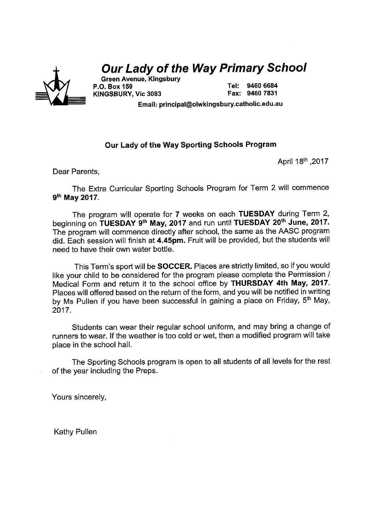

# **Our Lady of the Way Primary School**

**Green Avenue, Kingsbury** P.O. Box 159 KINGSBURY. Vic 3083

Tel: 9460 6684 Fax: 9460 7831

Email: principal@olwkingsbury.catholic.edu.au

## Our Lady of the Way Sporting Schools Program

April 18th , 2017

Dear Parents,

The Extra Curricular Sporting Schools Program for Term 2 will commence 9th May 2017.

The program will operate for 7 weeks on each TUESDAY during Term 2, beginning on TUESDAY 9<sup>th</sup> May, 2017 and run until TUESDAY 20<sup>th</sup> June, 2017. The program will commence directly after school, the same as the AASC program did. Each session will finish at 4.45pm. Fruit will be provided, but the students will need to have their own water bottle.

This Term's sport will be **SOCCER**. Places are strictly limited, so if you would like your child to be considered for the program please complete the Permission / Medical Form and return it to the school office by THURSDAY 4th May, 2017. Places will offered based on the return of the form, and you will be notified in writing by Ms Pullen if you have been successful in gaining a place on Friday, 5<sup>th</sup> May, 2017.

Students can wear their regular school uniform, and may bring a change of runners to wear. If the weather is too cold or wet, then a modified program will take place in the school hall.

The Sporting Schools program is open to all students of all levels for the rest of the year including the Preps.

Yours sincerely,

**Kathy Pullen**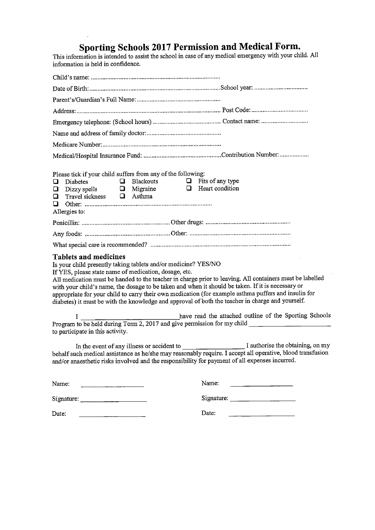**Sporting Schools 2017 Permission and Medical Form.**<br>This information is intended to assist the school in case of any medical emergency with your child. All information is held in confidence.

 $\ddot{\phantom{a}}$ 

| Please tick if your child suffers from any of the following:<br>$\Box$ Blackouts $\Box$ Fits of any type<br>Diabetes<br>□<br>$\Box$ Dizzy spells $\Box$ Migraine $\Box$ Heart condition<br>Travel sickness $\Box$ Asthma<br>$\Box$<br>⊔<br>Allergies to:                                                                                                                                                                                                                                                                                                                             |                                                                                                                               |
|--------------------------------------------------------------------------------------------------------------------------------------------------------------------------------------------------------------------------------------------------------------------------------------------------------------------------------------------------------------------------------------------------------------------------------------------------------------------------------------------------------------------------------------------------------------------------------------|-------------------------------------------------------------------------------------------------------------------------------|
|                                                                                                                                                                                                                                                                                                                                                                                                                                                                                                                                                                                      |                                                                                                                               |
|                                                                                                                                                                                                                                                                                                                                                                                                                                                                                                                                                                                      |                                                                                                                               |
|                                                                                                                                                                                                                                                                                                                                                                                                                                                                                                                                                                                      |                                                                                                                               |
| <b>Tablets and medicines</b><br>Is your child presently taking tablets and/or medicine? YES/NO<br>If YES, please state name of medication, dosage, etc.<br>All medication must be handed to the teacher in charge prior to leaving. All containers must be labelled<br>with your child's name, the dosage to be taken and when it should be taken. If it is necessary or<br>appropriate for your child to carry their own medication (for example asthma puffers and insulin for<br>diabetes) it must be with the knowledge and approval of both the teacher in charge and yourself. |                                                                                                                               |
| L<br>Program to be held during Term 2, 2017 and give permission for my child ____________________________<br>to participate in this activity.                                                                                                                                                                                                                                                                                                                                                                                                                                        | have read the attached outline of the Sporting Schools                                                                        |
| behalf such medical assistance as he/she may reasonably require. I accept all operative, blood transfusion<br>and/or anaesthetic risks involved and the responsibility for payment of all expenses incurred.                                                                                                                                                                                                                                                                                                                                                                         |                                                                                                                               |
| Name:                                                                                                                                                                                                                                                                                                                                                                                                                                                                                                                                                                                | Name:<br><u> 1989 - Jan Stein Stein Stein Stein Stein Stein Stein Stein Stein Stein Stein Stein Stein Stein Stein Stein S</u> |
|                                                                                                                                                                                                                                                                                                                                                                                                                                                                                                                                                                                      |                                                                                                                               |
| Date:                                                                                                                                                                                                                                                                                                                                                                                                                                                                                                                                                                                | Date:                                                                                                                         |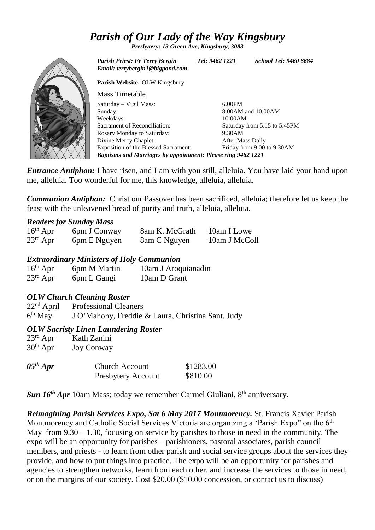# *Parish of Our Lady of the Way Kingsbury*

*Presbytery: 13 Green Ave, Kingsbury, 3083*



*Parish Priest: Fr Terry Bergin Tel: 9462 1221 School Tel: 9460 6684 Email: terrybergin1@bigpond.com* **Parish Website:** OLW Kingsbury Saturday – Vigil Mass: Sacrament of Reconciliation: Rosary Monday to Saturday: Divine Mercy Chaplet Exposition of the Blessed Sacrament: 6.00PM 8.00AM and 10.00AM 10.00AM Saturday from 5.15 to 5.45PM 9.30AM After Mass Daily Friday from 9.00 to 9.30AM *Baptisms and Marriages by appointment: Please ring 9462 1221*

*Entrance Antiphon:* I have risen, and I am with you still, alleluia. You have laid your hand upon me, alleluia. Too wonderful for me, this knowledge, alleluia, alleluia.

*Communion Antiphon:* Christ our Passover has been sacrificed, alleluia; therefore let us keep the feast with the unleavened bread of purity and truth, alleluia, alleluia.

### *Readers for Sunday Mass*

| $16th$ Apr           | 6pm J Conway | 8am K. McGrath | 10am I Lowe   |
|----------------------|--------------|----------------|---------------|
| $23^{\text{rd}}$ Apr | 6pm E Nguyen | 8am C Nguyen   | 10am J McColl |

## *Extraordinary Ministers of Holy Communion*

| $16th$ Apr           | 6pm M Martin | 10am J Aroquianadin |
|----------------------|--------------|---------------------|
| $23^{\text{rd}}$ Apr | 6pm L Gangi  | 10am D Grant        |

# *OLW Church Cleaning Roster*

22nd April Professional Cleaners 6<sup>th</sup> May J O'Mahony, Freddie & Laura, Christina Sant, Judy

## *OLW Sacristy Linen Laundering Roster*

23rd Apr Kath Zanini  $30<sup>th</sup>$  Apr Joy Conway

| $05^{th}$ Apr | <b>Church Account</b>     | \$1283.00 |
|---------------|---------------------------|-----------|
|               | <b>Presbytery Account</b> | \$810.00  |

*Sun 16<sup>th</sup> Apr* 10am Mass; today we remember Carmel Giuliani, 8<sup>th</sup> anniversary.

*Reimagining Parish Services Expo, Sat 6 May 2017 Montmorency.* St. Francis Xavier Parish Montmorency and Catholic Social Services Victoria are organizing a 'Parish Expo'' on the 6<sup>th</sup> May from  $9.30 - 1.30$ , focusing on service by parishes to those in need in the community. The expo will be an opportunity for parishes – parishioners, pastoral associates, parish council members, and priests - to learn from other parish and social service groups about the services they provide, and how to put things into practice. The expo will be an opportunity for parishes and agencies to strengthen networks, learn from each other, and increase the services to those in need, or on the margins of our society. Cost \$20.00 (\$10.00 concession, or contact us to discuss)